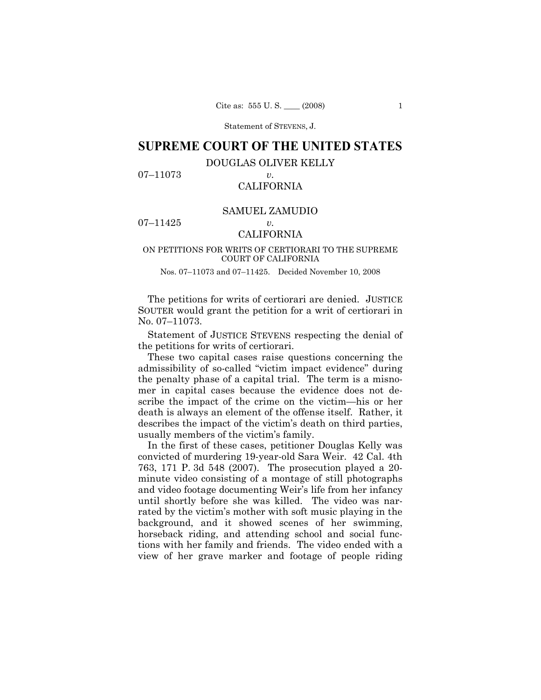# **SUPREME COURT OF THE UNITED STATES**

### DOUGLAS OLIVER KELLY

07–11073 *v.* 

## **CALIFORNIA**

#### SAMUEL ZAMUDIO

07–11425

#### $v^2$ . CALIFORNIA

#### ON PETITIONS FOR WRITS OF CERTIORARI TO THE SUPREME COURT OF CALIFORNIA

Nos. 07–11073 and 07–11425. Decided November 10, 2008

The petitions for writs of certiorari are denied. JUSTICE SOUTER would grant the petition for a writ of certiorari in No. 07–11073.

 Statement of JUSTICE STEVENS respecting the denial of the petitions for writs of certiorari.

These two capital cases raise questions concerning the admissibility of so-called "victim impact evidence" during the penalty phase of a capital trial. The term is a misnomer in capital cases because the evidence does not describe the impact of the crime on the victim—his or her death is always an element of the offense itself. Rather, it describes the impact of the victim's death on third parties, usually members of the victim's family.

In the first of these cases, petitioner Douglas Kelly was convicted of murdering 19-year-old Sara Weir. 42 Cal. 4th 763, 171 P. 3d 548 (2007). The prosecution played a 20 minute video consisting of a montage of still photographs and video footage documenting Weir's life from her infancy until shortly before she was killed. The video was narrated by the victim's mother with soft music playing in the background, and it showed scenes of her swimming, horseback riding, and attending school and social functions with her family and friends. The video ended with a view of her grave marker and footage of people riding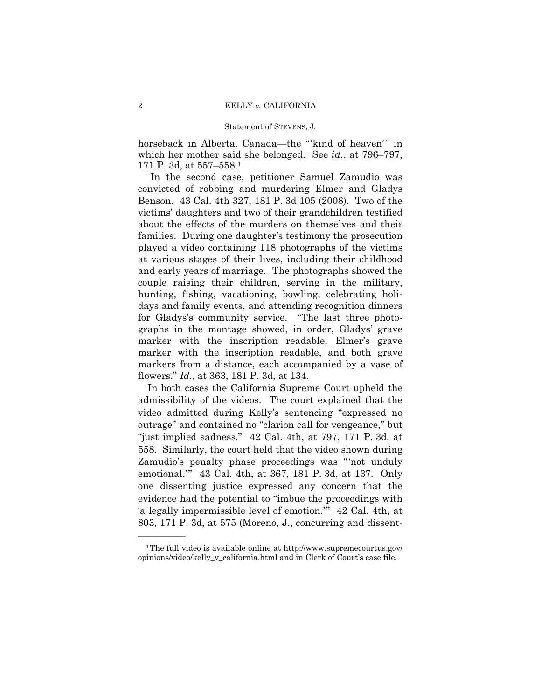horseback in Alberta, Canada—the "'kind of heaven'" in which her mother said she belonged. See *id.*, at 796–797, 171 P. 3d, at 557–558.1

In the second case, petitioner Samuel Zamudio was convicted of robbing and murdering Elmer and Gladys Benson. 43 Cal. 4th 327, 181 P. 3d 105 (2008). Two of the victims' daughters and two of their grandchildren testified about the effects of the murders on themselves and their families. During one daughter's testimony the prosecution played a video containing 118 photographs of the victims at various stages of their lives, including their childhood and early years of marriage. The photographs showed the couple raising their children, serving in the military, hunting, fishing, vacationing, bowling, celebrating holidays and family events, and attending recognition dinners for Gladys's community service. "The last three photographs in the montage showed, in order, Gladys' grave marker with the inscription readable, Elmer's grave marker with the inscription readable, and both grave markers from a distance, each accompanied by a vase of flowers." *Id.*, at 363, 181 P. 3d, at 134.

In both cases the California Supreme Court upheld the admissibility of the videos. The court explained that the video admitted during Kelly's sentencing "expressed no outrage" and contained no "clarion call for vengeance," but "just implied sadness." 42 Cal. 4th, at 797, 171 P. 3d, at 558. Similarly, the court held that the video shown during Zamudio's penalty phase proceedings was "'not unduly emotional.'" 43 Cal. 4th, at 367, 181 P. 3d, at 137. Only one dissenting justice expressed any concern that the evidence had the potential to "imbue the proceedings with 'a legally impermissible level of emotion.'" 42 Cal. 4th, at 803, 171 P. 3d, at 575 (Moreno, J., concurring and dissent-

——————

<sup>1</sup>The full video is available online at http://www.supremecourtus.gov/ [opinions/video/kelly\\_v\\_california.html and in Clerk of Court's case file.](http://www.supremecourtus.gov/opinions/video/kelly_v_california.html)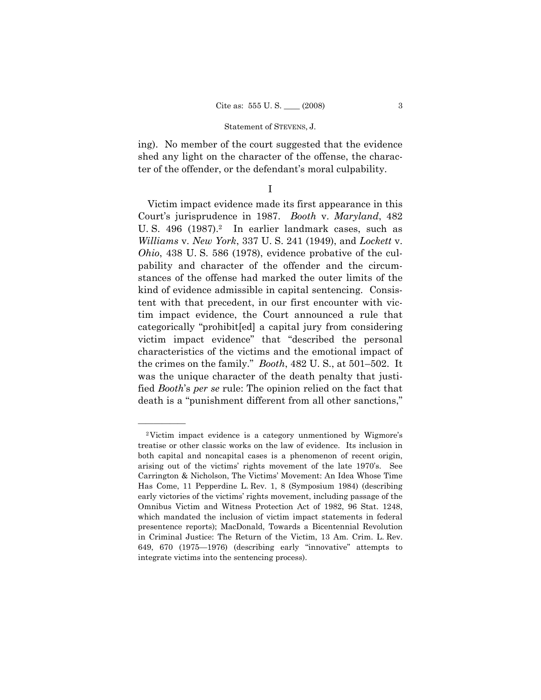ing). No member of the court suggested that the evidence shed any light on the character of the offense, the character of the offender, or the defendant's moral culpability.

I

Victim impact evidence made its first appearance in this Court's jurisprudence in 1987. *Booth* v. *Maryland*, 482 U. S. 496 (1987).<sup>2</sup> In earlier landmark cases, such as *Williams* v. *New York*, 337 U. S. 241 (1949), and *Lockett* v. *Ohio*, 438 U. S. 586 (1978), evidence probative of the culpability and character of the offender and the circumstances of the offense had marked the outer limits of the kind of evidence admissible in capital sentencing. Consistent with that precedent, in our first encounter with victim impact evidence, the Court announced a rule that categorically "prohibit[ed] a capital jury from considering victim impact evidence" that "described the personal characteristics of the victims and the emotional impact of the crimes on the family." *Booth*, 482 U. S., at 501–502. It was the unique character of the death penalty that justified *Booth*'s *per se* rule: The opinion relied on the fact that death is a "punishment different from all other sanctions,"

——————

<sup>2</sup>Victim impact evidence is a category unmentioned by Wigmore's treatise or other classic works on the law of evidence. Its inclusion in both capital and noncapital cases is a phenomenon of recent origin, arising out of the victims' rights movement of the late 1970's. See Carrington & Nicholson, The Victims' Movement: An Idea Whose Time Has Come, 11 Pepperdine L. Rev. 1, 8 (Symposium 1984) (describing early victories of the victims' rights movement, including passage of the Omnibus Victim and Witness Protection Act of 1982, 96 Stat. 1248, which mandated the inclusion of victim impact statements in federal presentence reports); MacDonald, Towards a Bicentennial Revolution in Criminal Justice: The Return of the Victim, 13 Am. Crim. L. Rev. 649, 670 (1975—1976) (describing early "innovative" attempts to integrate victims into the sentencing process).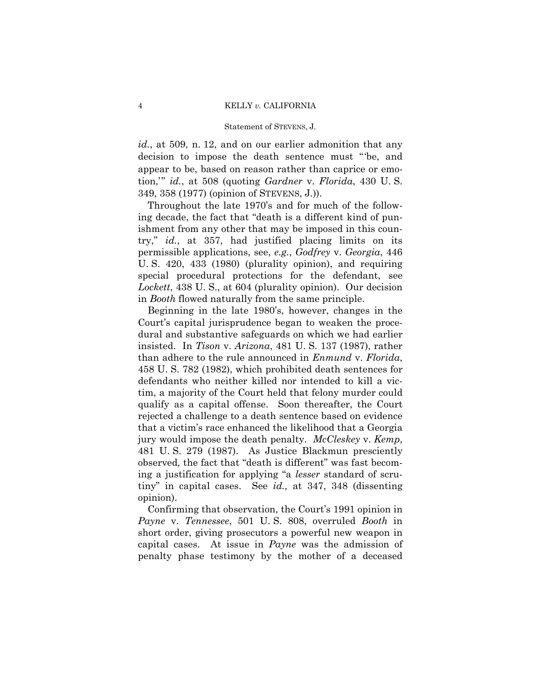*id.*, at 509, n. 12, and on our earlier admonition that any decision to impose the death sentence must "'be, and appear to be, based on reason rather than caprice or emotion,'" *id.*, at 508 (quoting *Gardner* v. *Florida*, 430 U. S. 349, 358 (1977) (opinion of STEVENS, J.)).

Throughout the late 1970's and for much of the following decade, the fact that "death is a different kind of punishment from any other that may be imposed in this country," *id.*, at 357, had justified placing limits on its permissible applications, see, *e.g.*, *Godfrey* v. *Georgia*, 446 U. S. 420, 433 (1980) (plurality opinion), and requiring special procedural protections for the defendant, see *Lockett*, 438 U. S., at 604 (plurality opinion). Our decision in *Booth* flowed naturally from the same principle.

Beginning in the late 1980's, however, changes in the Court's capital jurisprudence began to weaken the procedural and substantive safeguards on which we had earlier insisted. In *Tison* v. *Arizona*, 481 U. S. 137 (1987), rather than adhere to the rule announced in *Enmund* v. *Florida*, 458 U. S. 782 (1982), which prohibited death sentences for defendants who neither killed nor intended to kill a victim, a majority of the Court held that felony murder could qualify as a capital offense. Soon thereafter, the Court rejected a challenge to a death sentence based on evidence that a victim's race enhanced the likelihood that a Georgia jury would impose the death penalty. *McCleskey* v. *Kemp*, 481 U. S. 279 (1987). As Justice Blackmun presciently observed*,* the fact that "death is different" was fast becoming a justification for applying "a *lesser* standard of scrutiny" in capital cases. See *id.,* at 347, 348 (dissenting opinion).

Confirming that observation, the Court's 1991 opinion in *Payne* v. *Tennessee*, 501 U. S. 808, overruled *Booth* in short order, giving prosecutors a powerful new weapon in capital cases. At issue in *Payne* was the admission of penalty phase testimony by the mother of a deceased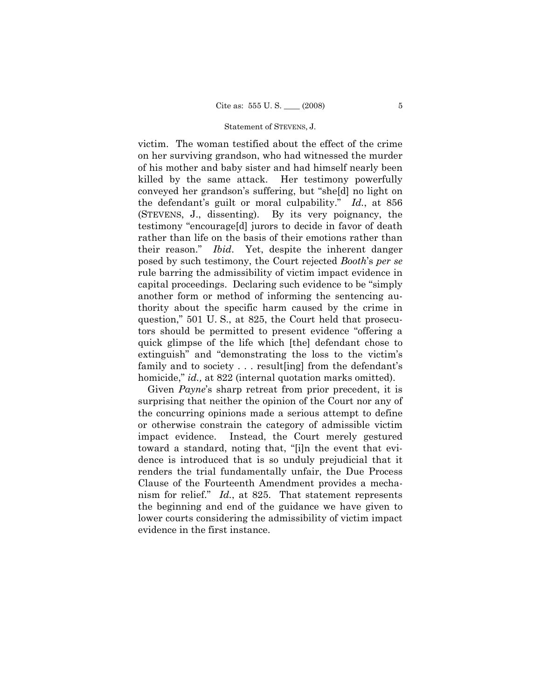victim. The woman testified about the effect of the crime on her surviving grandson, who had witnessed the murder of his mother and baby sister and had himself nearly been killed by the same attack. Her testimony powerfully conveyed her grandson's suffering, but "she[d] no light on the defendant's guilt or moral culpability." *Id.*, at 856 (STEVENS, J., dissenting). By its very poignancy, the testimony "encourage[d] jurors to decide in favor of death rather than life on the basis of their emotions rather than their reason." *Ibid*. Yet, despite the inherent danger posed by such testimony, the Court rejected *Booth*'s *per se* rule barring the admissibility of victim impact evidence in capital proceedings. Declaring such evidence to be "simply another form or method of informing the sentencing authority about the specific harm caused by the crime in question," 501 U. S., at 825, the Court held that prosecutors should be permitted to present evidence "offering a quick glimpse of the life which [the] defendant chose to extinguish" and "demonstrating the loss to the victim's family and to society . . . result[ing] from the defendant's homicide," *id.*, at 822 (internal quotation marks omitted).

Given *Payne*'s sharp retreat from prior precedent, it is surprising that neither the opinion of the Court nor any of the concurring opinions made a serious attempt to define or otherwise constrain the category of admissible victim impact evidence. Instead, the Court merely gestured toward a standard, noting that, "[i]n the event that evidence is introduced that is so unduly prejudicial that it renders the trial fundamentally unfair, the Due Process Clause of the Fourteenth Amendment provides a mechanism for relief." *Id.*, at 825. That statement represents the beginning and end of the guidance we have given to lower courts considering the admissibility of victim impact evidence in the first instance.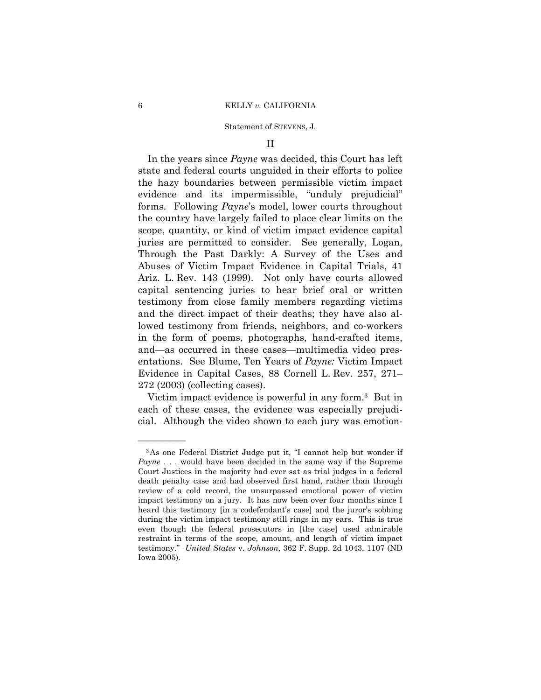#### II

In the years since *Payne* was decided, this Court has left state and federal courts unguided in their efforts to police the hazy boundaries between permissible victim impact evidence and its impermissible, "unduly prejudicial" forms. Following *Payne*'s model, lower courts throughout the country have largely failed to place clear limits on the scope, quantity, or kind of victim impact evidence capital juries are permitted to consider. See generally, Logan, Through the Past Darkly: A Survey of the Uses and Abuses of Victim Impact Evidence in Capital Trials, 41 Ariz. L. Rev. 143 (1999). Not only have courts allowed capital sentencing juries to hear brief oral or written testimony from close family members regarding victims and the direct impact of their deaths; they have also allowed testimony from friends, neighbors, and co-workers in the form of poems, photographs, hand-crafted items, and—as occurred in these cases—multimedia video presentations. See Blume, Ten Years of *Payne:* Victim Impact Evidence in Capital Cases, 88 Cornell L. Rev. 257, 271– 272 (2003) (collecting cases).

Victim impact evidence is powerful in any form.3 But in each of these cases, the evidence was especially prejudicial. Although the video shown to each jury was emotion-

——————

<sup>3</sup>As one Federal District Judge put it, "I cannot help but wonder if *Payne* . . . would have been decided in the same way if the Supreme Court Justices in the majority had ever sat as trial judges in a federal death penalty case and had observed first hand, rather than through review of a cold record, the unsurpassed emotional power of victim impact testimony on a jury. It has now been over four months since I heard this testimony [in a codefendant's case] and the juror's sobbing during the victim impact testimony still rings in my ears. This is true even though the federal prosecutors in [the case] used admirable restraint in terms of the scope, amount, and length of victim impact testimony." *United States* v. *Johnson*, 362 F. Supp. 2d 1043, 1107 (ND Iowa 2005).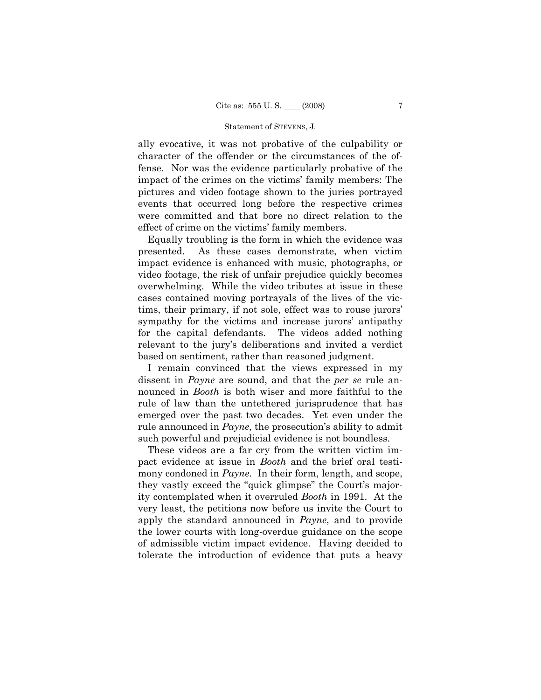ally evocative, it was not probative of the culpability or character of the offender or the circumstances of the offense. Nor was the evidence particularly probative of the impact of the crimes on the victims' family members: The pictures and video footage shown to the juries portrayed events that occurred long before the respective crimes were committed and that bore no direct relation to the effect of crime on the victims' family members.

Equally troubling is the form in which the evidence was presented. As these cases demonstrate, when victim impact evidence is enhanced with music, photographs, or video footage, the risk of unfair prejudice quickly becomes overwhelming. While the video tributes at issue in these cases contained moving portrayals of the lives of the victims, their primary, if not sole, effect was to rouse jurors' sympathy for the victims and increase jurors' antipathy for the capital defendants. The videos added nothing relevant to the jury's deliberations and invited a verdict based on sentiment, rather than reasoned judgment.

I remain convinced that the views expressed in my dissent in *Payne* are sound, and that the *per se* rule announced in *Booth* is both wiser and more faithful to the rule of law than the untethered jurisprudence that has emerged over the past two decades. Yet even under the rule announced in *Payne*, the prosecution's ability to admit such powerful and prejudicial evidence is not boundless.

These videos are a far cry from the written victim impact evidence at issue in *Booth* and the brief oral testimony condoned in *Payne*. In their form, length, and scope, they vastly exceed the "quick glimpse" the Court's majority contemplated when it overruled *Booth* in 1991. At the very least, the petitions now before us invite the Court to apply the standard announced in *Payne*, and to provide the lower courts with long-overdue guidance on the scope of admissible victim impact evidence. Having decided to tolerate the introduction of evidence that puts a heavy